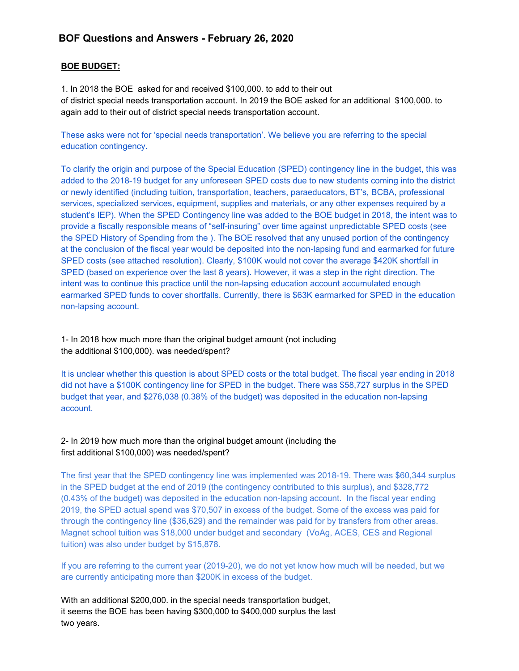### **BOF Questions and Answers - February 26, 2020**

#### **BOE BUDGET:**

1. In 2018 the BOE asked for and received \$100,000. to add to their out of district special needs transportation account. In 2019 the BOE asked for an additional \$100,000. to again add to their out of district special needs transportation account.

These asks were not for 'special needs transportation'. We believe you are referring to the special education contingency.

To clarify the origin and purpose of the Special Education (SPED) contingency line in the budget, this was added to the 2018-19 budget for any unforeseen SPED costs due to new students coming into the district or newly identified (including tuition, transportation, teachers, paraeducators, BT's, BCBA, professional services, specialized services, equipment, supplies and materials, or any other expenses required by a student's IEP). When the SPED Contingency line was added to the BOE budget in 2018, the intent was to provide a fiscally responsible means of "self-insuring" over time against unpredictable SPED costs (see the SPED History of Spending from the ). The BOE resolved that any unused portion of the contingency at the conclusion of the fiscal year would be deposited into the non-lapsing fund and earmarked for future SPED costs (see attached resolution). Clearly, \$100K would not cover the average \$420K shortfall in SPED (based on experience over the last 8 years). However, it was a step in the right direction. The intent was to continue this practice until the non-lapsing education account accumulated enough earmarked SPED funds to cover shortfalls. Currently, there is \$63K earmarked for SPED in the education non-lapsing account.

1- In 2018 how much more than the original budget amount (not including the additional \$100,000). was needed/spent?

It is unclear whether this question is about SPED costs or the total budget. The fiscal year ending in 2018 did not have a \$100K contingency line for SPED in the budget. There was \$58,727 surplus in the SPED budget that year, and \$276,038 (0.38% of the budget) was deposited in the education non-lapsing account.

#### 2- In 2019 how much more than the original budget amount (including the first additional \$100,000) was needed/spent?

The first year that the SPED contingency line was implemented was 2018-19. There was \$60,344 surplus in the SPED budget at the end of 2019 (the contingency contributed to this surplus), and \$328,772 (0.43% of the budget) was deposited in the education non-lapsing account. In the fiscal year ending 2019, the SPED actual spend was \$70,507 in excess of the budget. Some of the excess was paid for through the contingency line (\$36,629) and the remainder was paid for by transfers from other areas. Magnet school tuition was \$18,000 under budget and secondary (VoAg, ACES, CES and Regional tuition) was also under budget by \$15,878.

If you are referring to the current year (2019-20), we do not yet know how much will be needed, but we are currently anticipating more than \$200K in excess of the budget.

With an additional \$200,000. in the special needs transportation budget, it seems the BOE has been having \$300,000 to \$400,000 surplus the last two years.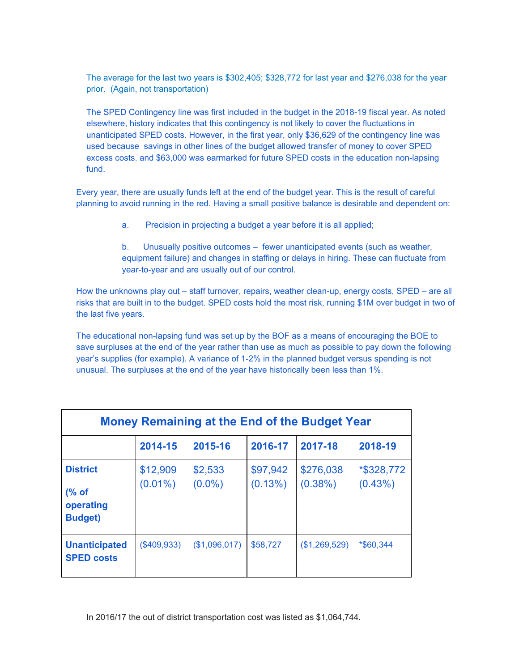The average for the last two years is \$302,405; \$328,772 for last year and \$276,038 for the year prior. (Again, not transportation)

The SPED Contingency line was first included in the budget in the 2018-19 fiscal year. As noted elsewhere, history indicates that this contingency is not likely to cover the fluctuations in unanticipated SPED costs. However, in the first year, only \$36,629 of the contingency line was used because savings in other lines of the budget allowed transfer of money to cover SPED excess costs. and \$63,000 was earmarked for future SPED costs in the education non-lapsing fund.

Every year, there are usually funds left at the end of the budget year. This is the result of careful planning to avoid running in the red. Having a small positive balance is desirable and dependent on:

a. Precision in projecting a budget a year before it is all applied;

b. Unusually positive outcomes – fewer unanticipated events (such as weather, equipment failure) and changes in staffing or delays in hiring. These can fluctuate from year-to-year and are usually out of our control.

How the unknowns play out – staff turnover, repairs, weather clean-up, energy costs, SPED – are all risks that are built in to the budget. SPED costs hold the most risk, running \$1M over budget in two of the last five years.

The educational non-lapsing fund was set up by the BOF as a means of encouraging the BOE to save surpluses at the end of the year rather than use as much as possible to pay down the following year's supplies (for example). A variance of 1-2% in the planned budget versus spending is not unusual. The surpluses at the end of the year have historically been less than 1%.

| Money Remaining at the End of the Budget Year                       |                        |                      |                        |                         |                          |  |  |  |  |  |  |
|---------------------------------------------------------------------|------------------------|----------------------|------------------------|-------------------------|--------------------------|--|--|--|--|--|--|
|                                                                     | 2014-15                | 2015-16              | 2016-17                | 2017-18                 | 2018-19                  |  |  |  |  |  |  |
| <b>District</b><br>$\frac{6}{6}$ of<br>operating<br><b>Budget</b> ) | \$12,909<br>$(0.01\%)$ | \$2,533<br>$(0.0\%)$ | \$97,942<br>$(0.13\%)$ | \$276,038<br>$(0.38\%)$ | *\$328,772<br>$(0.43\%)$ |  |  |  |  |  |  |
| <b>Unanticipated</b><br><b>SPED costs</b>                           | (\$409,933)            | (\$1,096,017)        | \$58,727               | (\$1,269,529)           | *\$60,344                |  |  |  |  |  |  |

In 2016/17 the out of district transportation cost was listed as \$1,064,744.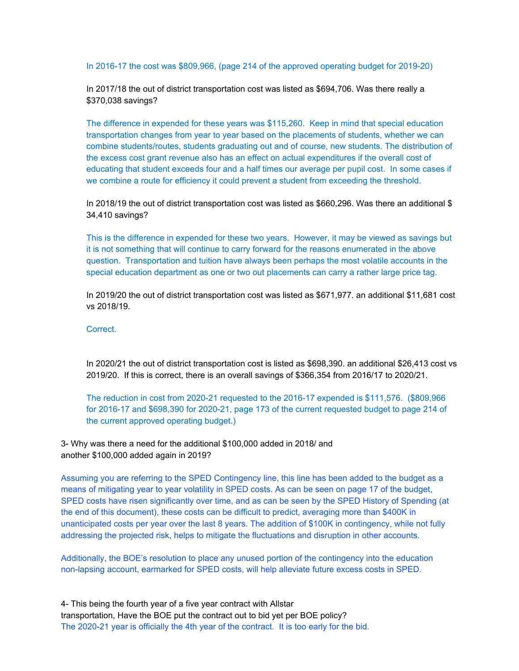In 2016-17 the cost was \$809,966, (page 214 of the approved operating budget for 2019-20)

In 2017/18 the out of district transportation cost was listed as \$694,706. Was there really a \$370,038 savings?

The difference in expended for these years was \$115,260. Keep in mind that special education transportation changes from year to year based on the placements of students, whether we can combine students/routes, students graduating out and of course, new students. The distribution of the excess cost grant revenue also has an effect on actual expenditures if the overall cost of educating that student exceeds four and a half times our average per pupil cost. In some cases if we combine a route for efficiency it could prevent a student from exceeding the threshold.

In 2018/19 the out of district transportation cost was listed as \$660,296. Was there an additional \$ 34,410 savings?

This is the difference in expended for these two years. However, it may be viewed as savings but it is not something that will continue to carry forward for the reasons enumerated in the above question. Transportation and tuition have always been perhaps the most volatile accounts in the special education department as one or two out placements can carry a rather large price tag.

In 2019/20 the out of district transportation cost was listed as \$671,977. an additional \$11,681 cost vs 2018/19.

Correct.

In 2020/21 the out of district transportation cost is listed as \$698,390. an additional \$26,413 cost vs 2019/20. If this is correct, there is an overall savings of \$366,354 from 2016/17 to 2020/21.

The reduction in cost from 2020-21 requested to the 2016-17 expended is \$111,576. (\$809,966 for 2016-17 and \$698,390 for 2020-21, page 173 of the current requested budget to page 214 of the current approved operating budget.)

3- Why was there a need for the additional \$100,000 added in 2018/ and another \$100,000 added again in 2019?

Assuming you are referring to the SPED Contingency line, this line has been added to the budget as a means of mitigating year to year volatility in SPED costs. As can be seen on page 17 of the budget, SPED costs have risen significantly over time, and as can be seen by the SPED History of Spending (at the end of this document), these costs can be difficult to predict, averaging more than \$400K in unanticipated costs per year over the last 8 years. The addition of \$100K in contingency, while not fully addressing the projected risk, helps to mitigate the fluctuations and disruption in other accounts.

Additionally, the BOE's resolution to place any unused portion of the contingency into the education non-lapsing account, earmarked for SPED costs, will help alleviate future excess costs in SPED.

4- This being the fourth year of a five year contract with Allstar transportation, Have the BOE put the contract out to bid yet per BOE policy? The 2020-21 year is officially the 4th year of the contract. It is too early for the bid.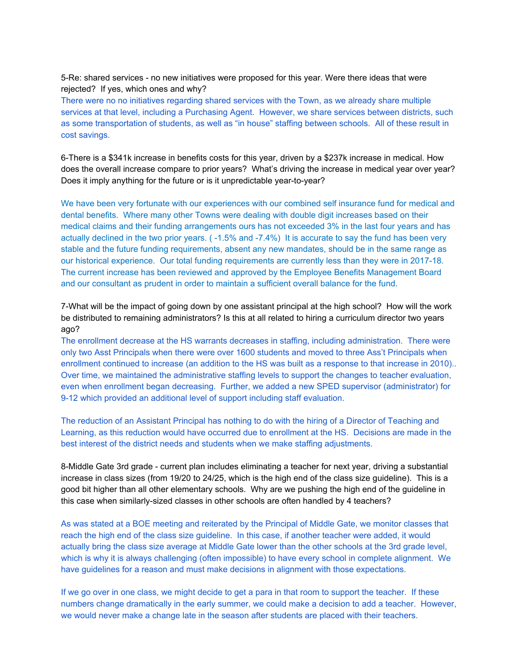5-Re: shared services - no new initiatives were proposed for this year. Were there ideas that were rejected? If yes, which ones and why?

There were no no initiatives regarding shared services with the Town, as we already share multiple services at that level, including a Purchasing Agent. However, we share services between districts, such as some transportation of students, as well as "in house" staffing between schools. All of these result in cost savings.

6-There is a \$341k increase in benefits costs for this year, driven by a \$237k increase in medical. How does the overall increase compare to prior years? What's driving the increase in medical year over year? Does it imply anything for the future or is it unpredictable year-to-year?

We have been very fortunate with our experiences with our combined self insurance fund for medical and dental benefits. Where many other Towns were dealing with double digit increases based on their medical claims and their funding arrangements ours has not exceeded 3% in the last four years and has actually declined in the two prior years. ( -1.5% and -7.4%) It is accurate to say the fund has been very stable and the future funding requirements, absent any new mandates, should be in the same range as our historical experience. Our total funding requirements are currently less than they were in 2017-18. The current increase has been reviewed and approved by the Employee Benefits Management Board and our consultant as prudent in order to maintain a sufficient overall balance for the fund.

7-What will be the impact of going down by one assistant principal at the high school? How will the work be distributed to remaining administrators? Is this at all related to hiring a curriculum director two years ago?

The enrollment decrease at the HS warrants decreases in staffing, including administration. There were only two Asst Principals when there were over 1600 students and moved to three Ass't Principals when enrollment continued to increase (an addition to the HS was built as a response to that increase in 2010).. Over time, we maintained the administrative staffing levels to support the changes to teacher evaluation, even when enrollment began decreasing. Further, we added a new SPED supervisor (administrator) for 9-12 which provided an additional level of support including staff evaluation.

The reduction of an Assistant Principal has nothing to do with the hiring of a Director of Teaching and Learning, as this reduction would have occurred due to enrollment at the HS. Decisions are made in the best interest of the district needs and students when we make staffing adjustments.

8-Middle Gate 3rd grade - current plan includes eliminating a teacher for next year, driving a substantial increase in class sizes (from 19/20 to 24/25, which is the high end of the class size guideline). This is a good bit higher than all other elementary schools. Why are we pushing the high end of the guideline in this case when similarly-sized classes in other schools are often handled by 4 teachers?

As was stated at a BOE meeting and reiterated by the Principal of Middle Gate, we monitor classes that reach the high end of the class size guideline. In this case, if another teacher were added, it would actually bring the class size average at Middle Gate lower than the other schools at the 3rd grade level, which is why it is always challenging (often impossible) to have every school in complete alignment. We have guidelines for a reason and must make decisions in alignment with those expectations.

If we go over in one class, we might decide to get a para in that room to support the teacher. If these numbers change dramatically in the early summer, we could make a decision to add a teacher. However, we would never make a change late in the season after students are placed with their teachers.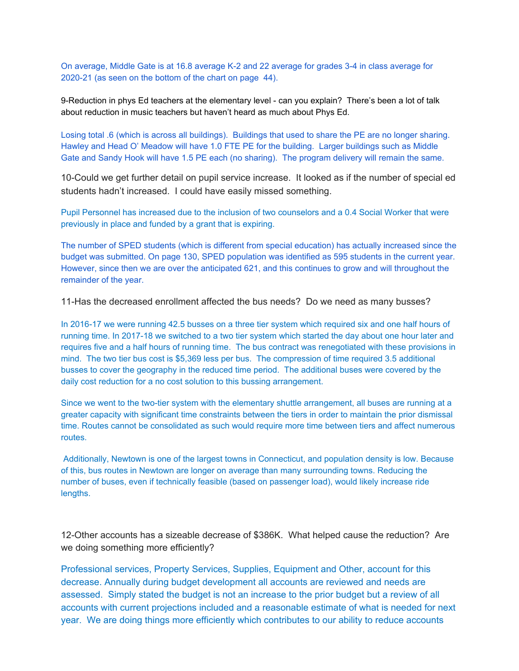On average, Middle Gate is at 16.8 average K-2 and 22 average for grades 3-4 in class average for 2020-21 (as seen on the bottom of the chart on page 44).

9-Reduction in phys Ed teachers at the elementary level - can you explain? There's been a lot of talk about reduction in music teachers but haven't heard as much about Phys Ed.

Losing total .6 (which is across all buildings). Buildings that used to share the PE are no longer sharing. Hawley and Head O' Meadow will have 1.0 FTE PE for the building. Larger buildings such as Middle Gate and Sandy Hook will have 1.5 PE each (no sharing). The program delivery will remain the same.

10-Could we get further detail on pupil service increase. It looked as if the number of special ed students hadn't increased. I could have easily missed something.

Pupil Personnel has increased due to the inclusion of two counselors and a 0.4 Social Worker that were previously in place and funded by a grant that is expiring.

The number of SPED students (which is different from special education) has actually increased since the budget was submitted. On page 130, SPED population was identified as 595 students in the current year. However, since then we are over the anticipated 621, and this continues to grow and will throughout the remainder of the year.

11-Has the decreased enrollment affected the bus needs? Do we need as many busses?

In 2016-17 we were running 42.5 busses on a three tier system which required six and one half hours of running time. In 2017-18 we switched to a two tier system which started the day about one hour later and requires five and a half hours of running time. The bus contract was renegotiated with these provisions in mind. The two tier bus cost is \$5,369 less per bus. The compression of time required 3.5 additional busses to cover the geography in the reduced time period. The additional buses were covered by the daily cost reduction for a no cost solution to this bussing arrangement.

Since we went to the two-tier system with the elementary shuttle arrangement, all buses are running at a greater capacity with significant time constraints between the tiers in order to maintain the prior dismissal time. Routes cannot be consolidated as such would require more time between tiers and affect numerous routes.

Additionally, Newtown is one of the largest towns in Connecticut, and population density is low. Because of this, bus routes in Newtown are longer on average than many surrounding towns. Reducing the number of buses, even if technically feasible (based on passenger load), would likely increase ride lengths.

12-Other accounts has a sizeable decrease of \$386K. What helped cause the reduction? Are we doing something more efficiently?

Professional services, Property Services, Supplies, Equipment and Other, account for this decrease. Annually during budget development all accounts are reviewed and needs are assessed. Simply stated the budget is not an increase to the prior budget but a review of all accounts with current projections included and a reasonable estimate of what is needed for next year. We are doing things more efficiently which contributes to our ability to reduce accounts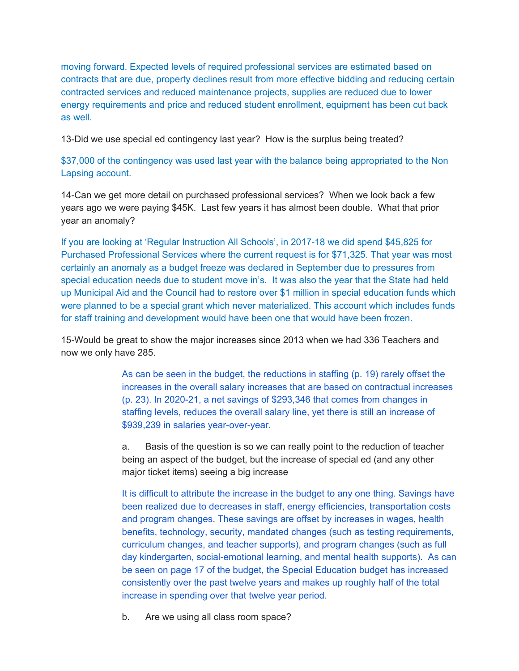moving forward. Expected levels of required professional services are estimated based on contracts that are due, property declines result from more effective bidding and reducing certain contracted services and reduced maintenance projects, supplies are reduced due to lower energy requirements and price and reduced student enrollment, equipment has been cut back as well.

13-Did we use special ed contingency last year? How is the surplus being treated?

\$37,000 of the contingency was used last year with the balance being appropriated to the Non Lapsing account.

14-Can we get more detail on purchased professional services? When we look back a few years ago we were paying \$45K. Last few years it has almost been double. What that prior year an anomaly?

If you are looking at 'Regular Instruction All Schools', in 2017-18 we did spend \$45,825 for Purchased Professional Services where the current request is for \$71,325. That year was most certainly an anomaly as a budget freeze was declared in September due to pressures from special education needs due to student move in's. It was also the year that the State had held up Municipal Aid and the Council had to restore over \$1 million in special education funds which were planned to be a special grant which never materialized. This account which includes funds for staff training and development would have been one that would have been frozen.

15-Would be great to show the major increases since 2013 when we had 336 Teachers and now we only have 285.

> As can be seen in the budget, the reductions in staffing (p. 19) rarely offset the increases in the overall salary increases that are based on contractual increases (p. 23). In 2020-21, a net savings of \$293,346 that comes from changes in staffing levels, reduces the overall salary line, yet there is still an increase of \$939,239 in salaries year-over-year.

a. Basis of the question is so we can really point to the reduction of teacher being an aspect of the budget, but the increase of special ed (and any other major ticket items) seeing a big increase

It is difficult to attribute the increase in the budget to any one thing. Savings have been realized due to decreases in staff, energy efficiencies, transportation costs and program changes. These savings are offset by increases in wages, health benefits, technology, security, mandated changes (such as testing requirements, curriculum changes, and teacher supports), and program changes (such as full day kindergarten, social-emotional learning, and mental health supports). As can be seen on page 17 of the budget, the Special Education budget has increased consistently over the past twelve years and makes up roughly half of the total increase in spending over that twelve year period.

b. Are we using all class room space?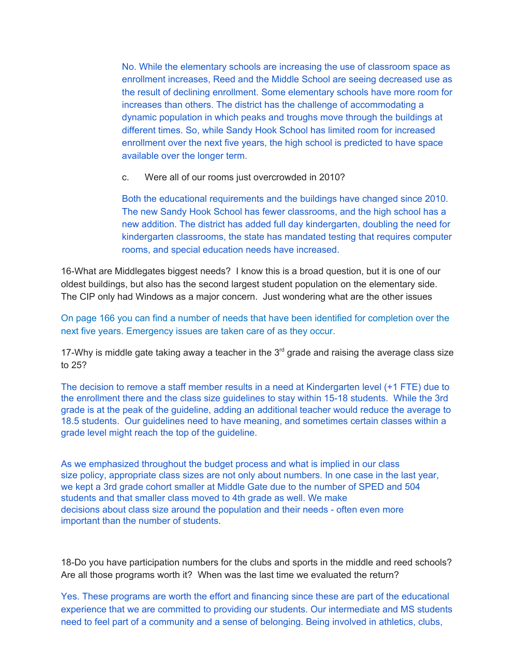No. While the elementary schools are increasing the use of classroom space as enrollment increases, Reed and the Middle School are seeing decreased use as the result of declining enrollment. Some elementary schools have more room for increases than others. The district has the challenge of accommodating a dynamic population in which peaks and troughs move through the buildings at different times. So, while Sandy Hook School has limited room for increased enrollment over the next five years, the high school is predicted to have space available over the longer term.

c. Were all of our rooms just overcrowded in 2010?

Both the educational requirements and the buildings have changed since 2010. The new Sandy Hook School has fewer classrooms, and the high school has a new addition. The district has added full day kindergarten, doubling the need for kindergarten classrooms, the state has mandated testing that requires computer rooms, and special education needs have increased.

16-What are Middlegates biggest needs? I know this is a broad question, but it is one of our oldest buildings, but also has the second largest student population on the elementary side. The CIP only had Windows as a major concern. Just wondering what are the other issues

On page 166 you can find a number of needs that have been identified for completion over the next five years. Emergency issues are taken care of as they occur.

17-Why is middle gate taking away a teacher in the  $3<sup>rd</sup>$  grade and raising the average class size to 25?

The decision to remove a staff member results in a need at Kindergarten level (+1 FTE) due to the enrollment there and the class size guidelines to stay within 15-18 students. While the 3rd grade is at the peak of the guideline, adding an additional teacher would reduce the average to 18.5 students. Our guidelines need to have meaning, and sometimes certain classes within a grade level might reach the top of the guideline.

As we emphasized throughout the budget process and what is implied in our class size policy, appropriate class sizes are not only about numbers. In one case in the last year, we kept a 3rd grade cohort smaller at Middle Gate due to the number of SPED and 504 students and that smaller class moved to 4th grade as well. We make decisions about class size around the population and their needs - often even more important than the number of students.

18-Do you have participation numbers for the clubs and sports in the middle and reed schools? Are all those programs worth it? When was the last time we evaluated the return?

Yes. These programs are worth the effort and financing since these are part of the educational experience that we are committed to providing our students. Our intermediate and MS students need to feel part of a community and a sense of belonging. Being involved in athletics, clubs,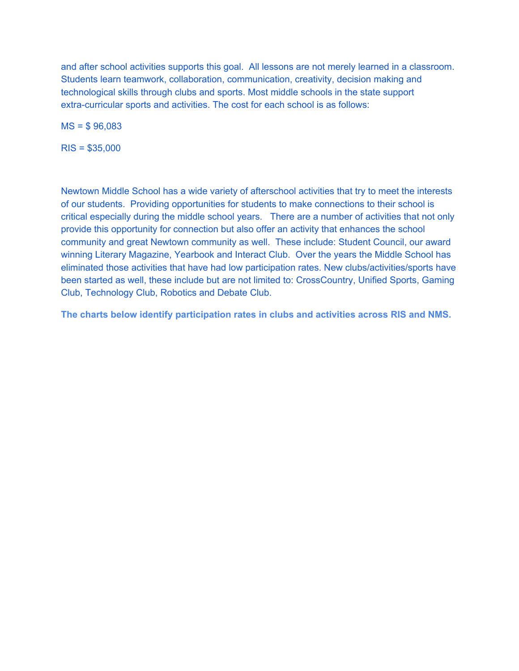and after school activities supports this goal. All lessons are not merely learned in a classroom. Students learn teamwork, collaboration, communication, creativity, decision making and technological skills through clubs and sports. Most middle schools in the state support extra-curricular sports and activities. The cost for each school is as follows:

MS = \$ 96,083

RIS = \$35,000

Newtown Middle School has a wide variety of afterschool activities that try to meet the interests of our students. Providing opportunities for students to make connections to their school is critical especially during the middle school years. There are a number of activities that not only provide this opportunity for connection but also offer an activity that enhances the school community and great Newtown community as well. These include: Student Council, our award winning Literary Magazine, Yearbook and Interact Club. Over the years the Middle School has eliminated those activities that have had low participation rates. New clubs/activities/sports have been started as well, these include but are not limited to: CrossCountry, Unified Sports, Gaming Club, Technology Club, Robotics and Debate Club.

**The charts below identify participation rates in clubs and activities across RIS and NMS.**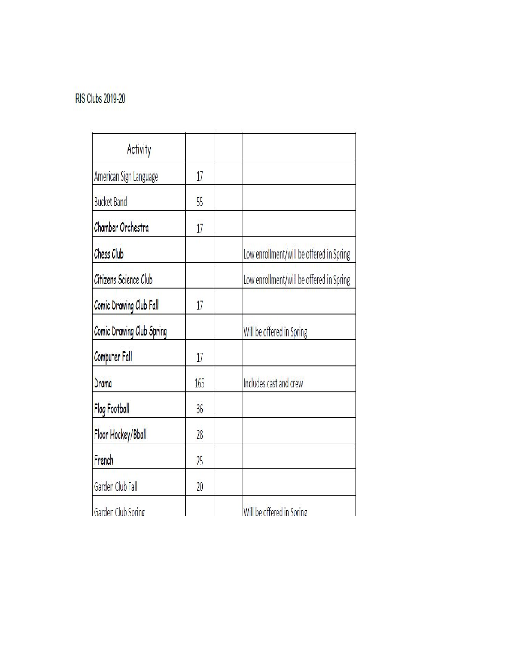# **RIS Clubs 2019-20**

| Activity                  |     |                                          |
|---------------------------|-----|------------------------------------------|
| American Sign Language    | 17  |                                          |
| <b>Bucket Band</b>        | 55  |                                          |
| Chamber Orchestra         | 17  |                                          |
| Chess Club                |     | Low enrollment/will be offered in Spring |
| Citizens Science Club     |     | Low enrollment/will be offered in Spring |
| Comic Drawing Club Fall   | 17  |                                          |
| Comic Drawing Club Spring |     | Will be offered in Spring                |
| Computer Fall             | 17  |                                          |
| Drama                     | 165 | Includes cast and crew                   |
| <b>Flag Football</b>      | 36  |                                          |
| Floor Hockey/Bball        | 28  |                                          |
| French                    | 25  |                                          |
| Garden Club Fall          | 20  |                                          |
| Garden Club Spring        |     | Will be offered in Spring                |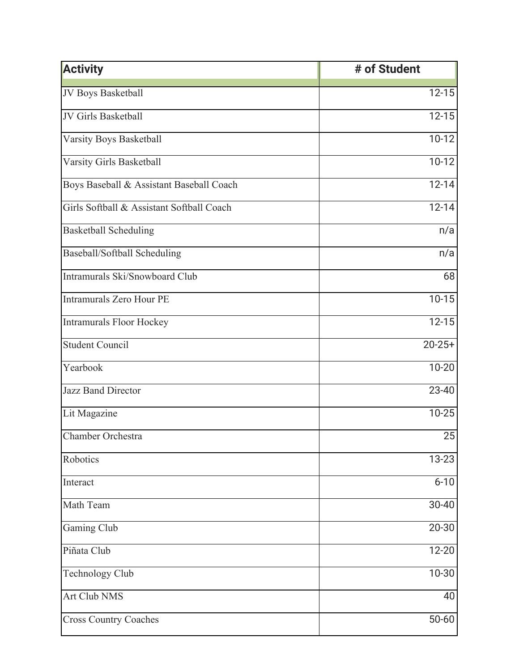| <b>Activity</b>                           | # of Student |
|-------------------------------------------|--------------|
| JV Boys Basketball                        | $12 - 15$    |
| JV Girls Basketball                       | $12 - 15$    |
| Varsity Boys Basketball                   | $10-12$      |
| Varsity Girls Basketball                  | $10-12$      |
| Boys Baseball & Assistant Baseball Coach  | $12 - 14$    |
| Girls Softball & Assistant Softball Coach | $12 - 14$    |
| <b>Basketball Scheduling</b>              | n/a          |
| Baseball/Softball Scheduling              | n/a          |
| Intramurals Ski/Snowboard Club            | 68           |
| <b>Intramurals Zero Hour PE</b>           | $10-15$      |
| <b>Intramurals Floor Hockey</b>           | $12 - 15$    |
| <b>Student Council</b>                    | $20 - 25 +$  |
| Yearbook                                  | $10 - 20$    |
| Jazz Band Director                        | 23-40        |
| Lit Magazine                              | $10 - 25$    |
| Chamber Orchestra                         | 25           |
| Robotics                                  | $13 - 23$    |
| Interact                                  | $6 - 10$     |
| Math Team                                 | 30-40        |
| Gaming Club                               | 20-30        |
| Piñata Club                               | 12-20        |
| <b>Technology Club</b>                    | $10 - 30$    |
| Art Club NMS                              | 40           |
| <b>Cross Country Coaches</b>              | $50 - 60$    |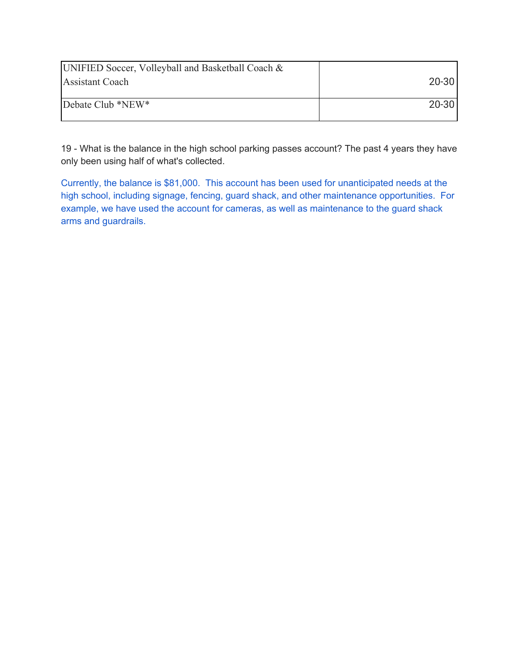| UNIFIED Soccer, Volleyball and Basketball Coach & |           |
|---------------------------------------------------|-----------|
| <b>Assistant Coach</b>                            | $20 - 30$ |
|                                                   |           |
| Debate Club *NEW*                                 | $20 - 30$ |
|                                                   |           |

19 - What is the balance in the high school parking passes account? The past 4 years they have only been using half of what's collected.

Currently, the balance is \$81,000. This account has been used for unanticipated needs at the high school, including signage, fencing, guard shack, and other maintenance opportunities. For example, we have used the account for cameras, as well as maintenance to the guard shack arms and guardrails.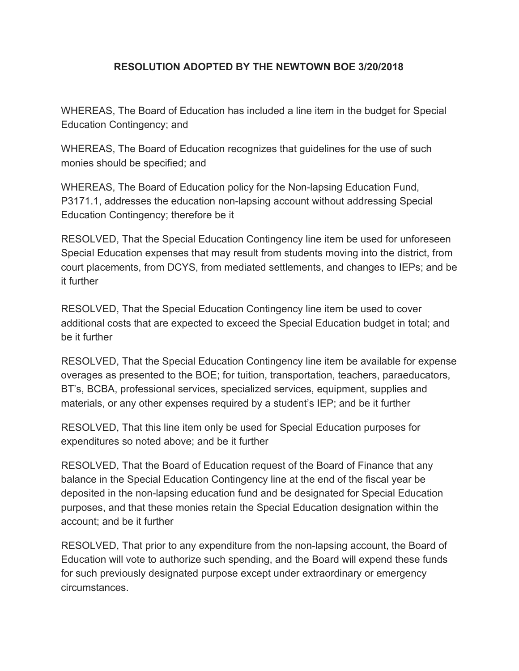## **RESOLUTION ADOPTED BY THE NEWTOWN BOE 3/20/2018**

WHEREAS, The Board of Education has included a line item in the budget for Special Education Contingency; and

WHEREAS, The Board of Education recognizes that guidelines for the use of such monies should be specified; and

WHEREAS, The Board of Education policy for the Non-lapsing Education Fund, P3171.1, addresses the education non-lapsing account without addressing Special Education Contingency; therefore be it

RESOLVED, That the Special Education Contingency line item be used for unforeseen Special Education expenses that may result from students moving into the district, from court placements, from DCYS, from mediated settlements, and changes to IEPs; and be it further

RESOLVED, That the Special Education Contingency line item be used to cover additional costs that are expected to exceed the Special Education budget in total; and be it further

RESOLVED, That the Special Education Contingency line item be available for expense overages as presented to the BOE; for tuition, transportation, teachers, paraeducators, BT's, BCBA, professional services, specialized services, equipment, supplies and materials, or any other expenses required by a student's IEP; and be it further

RESOLVED, That this line item only be used for Special Education purposes for expenditures so noted above; and be it further

RESOLVED, That the Board of Education request of the Board of Finance that any balance in the Special Education Contingency line at the end of the fiscal year be deposited in the non-lapsing education fund and be designated for Special Education purposes, and that these monies retain the Special Education designation within the account; and be it further

RESOLVED, That prior to any expenditure from the non-lapsing account, the Board of Education will vote to authorize such spending, and the Board will expend these funds for such previously designated purpose except under extraordinary or emergency circumstances.